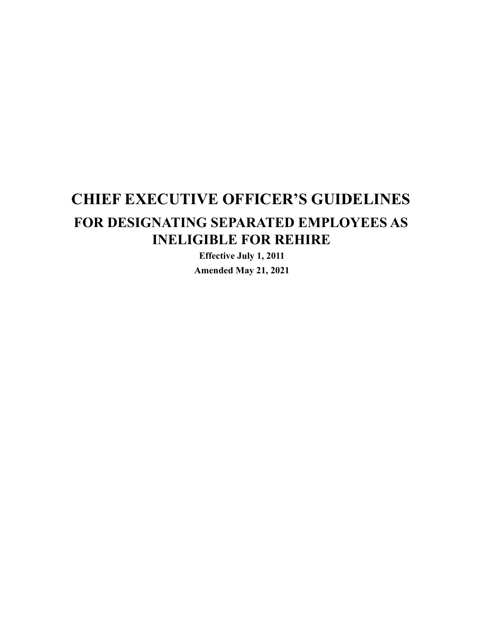# **CHIEF EXECUTIVE OFFICER'S GUIDELINES FOR DESIGNATING SEPARATED EMPLOYEES AS INELIGIBLE FOR REHIRE**

**Effective July 1, 2011 Amended May 21, 2021**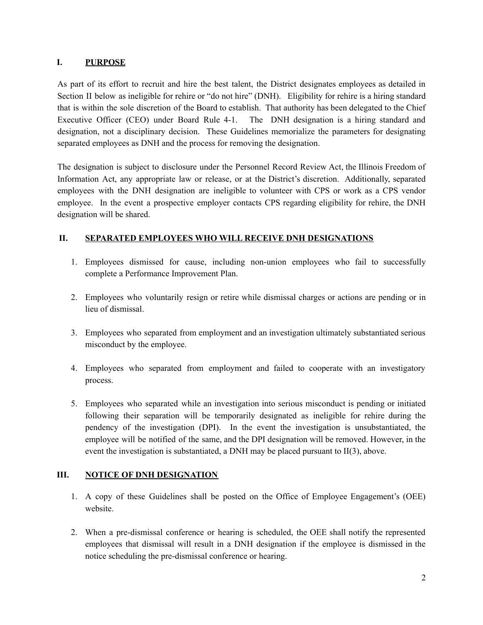#### **I. PURPOSE**

As part of its effort to recruit and hire the best talent, the District designates employees as detailed in Section II below as ineligible for rehire or "do not hire" (DNH). Eligibility for rehire is a hiring standard that is within the sole discretion of the Board to establish. That authority has been delegated to the Chief Executive Officer (CEO) under Board Rule 4-1. The DNH designation is a hiring standard and designation, not a disciplinary decision. These Guidelines memorialize the parameters for designating separated employees as DNH and the process for removing the designation.

The designation is subject to disclosure under the Personnel Record Review Act, the Illinois Freedom of Information Act, any appropriate law or release, or at the District's discretion. Additionally, separated employees with the DNH designation are ineligible to volunteer with CPS or work as a CPS vendor employee. In the event a prospective employer contacts CPS regarding eligibility for rehire, the DNH designation will be shared.

### **II. SEPARATED EMPLOYEES WHO WILL RECEIVE DNH DESIGNATIONS**

- 1. Employees dismissed for cause, including non-union employees who fail to successfully complete a Performance Improvement Plan.
- 2. Employees who voluntarily resign or retire while dismissal charges or actions are pending or in lieu of dismissal.
- 3. Employees who separated from employment and an investigation ultimately substantiated serious misconduct by the employee.
- 4. Employees who separated from employment and failed to cooperate with an investigatory process.
- 5. Employees who separated while an investigation into serious misconduct is pending or initiated following their separation will be temporarily designated as ineligible for rehire during the pendency of the investigation (DPI). In the event the investigation is unsubstantiated, the employee will be notified of the same, and the DPI designation will be removed. However, in the event the investigation is substantiated, a DNH may be placed pursuant to II(3), above.

## **III. NOTICE OF DNH DESIGNATION**

- 1. A copy of these Guidelines shall be posted on the Office of Employee Engagement's (OEE) website.
- 2. When a pre-dismissal conference or hearing is scheduled, the OEE shall notify the represented employees that dismissal will result in a DNH designation if the employee is dismissed in the notice scheduling the pre-dismissal conference or hearing.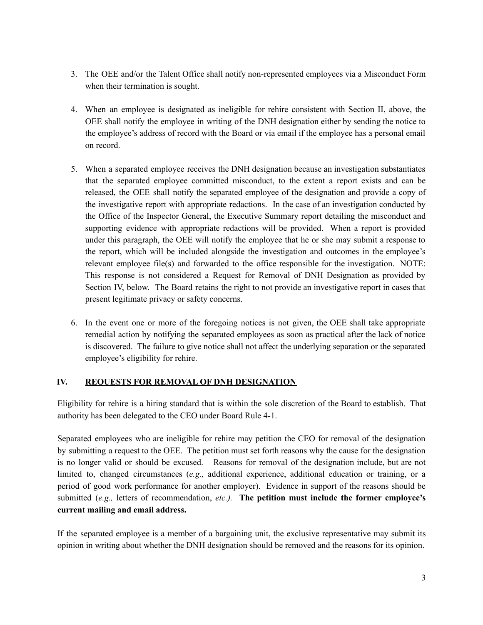- 3. The OEE and/or the Talent Office shall notify non-represented employees via a Misconduct Form when their termination is sought.
- 4. When an employee is designated as ineligible for rehire consistent with Section II, above, the OEE shall notify the employee in writing of the DNH designation either by sending the notice to the employee's address of record with the Board or via email if the employee has a personal email on record.
- 5. When a separated employee receives the DNH designation because an investigation substantiates that the separated employee committed misconduct, to the extent a report exists and can be released, the OEE shall notify the separated employee of the designation and provide a copy of the investigative report with appropriate redactions. In the case of an investigation conducted by the Office of the Inspector General, the Executive Summary report detailing the misconduct and supporting evidence with appropriate redactions will be provided. When a report is provided under this paragraph, the OEE will notify the employee that he or she may submit a response to the report, which will be included alongside the investigation and outcomes in the employee's relevant employee file(s) and forwarded to the office responsible for the investigation. NOTE: This response is not considered a Request for Removal of DNH Designation as provided by Section IV, below. The Board retains the right to not provide an investigative report in cases that present legitimate privacy or safety concerns.
- 6. In the event one or more of the foregoing notices is not given, the OEE shall take appropriate remedial action by notifying the separated employees as soon as practical after the lack of notice is discovered. The failure to give notice shall not affect the underlying separation or the separated employee's eligibility for rehire.

#### **IV. REQUESTS FOR REMOVAL OF DNH DESIGNATION**

Eligibility for rehire is a hiring standard that is within the sole discretion of the Board to establish. That authority has been delegated to the CEO under Board Rule 4-1.

Separated employees who are ineligible for rehire may petition the CEO for removal of the designation by submitting a request to the OEE. The petition must set forth reasons why the cause for the designation is no longer valid or should be excused. Reasons for removal of the designation include, but are not limited to, changed circumstances (*e.g.,* additional experience, additional education or training, or a period of good work performance for another employer). Evidence in support of the reasons should be submitted (*e.g.,* letters of recommendation, *etc.).* **The petition must include the former employee's current mailing and email address.**

If the separated employee is a member of a bargaining unit, the exclusive representative may submit its opinion in writing about whether the DNH designation should be removed and the reasons for its opinion.